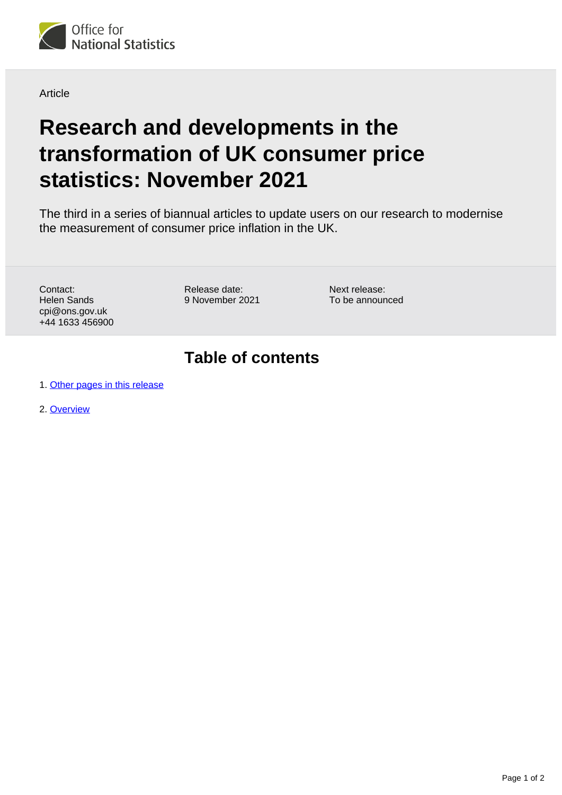

Article

## **Research and developments in the transformation of UK consumer price statistics: November 2021**

The third in a series of biannual articles to update users on our research to modernise the measurement of consumer price inflation in the UK.

Contact: Helen Sands cpi@ons.gov.uk +44 1633 456900 Release date: 9 November 2021 Next release: To be announced

## **Table of contents**

1. [Other pages in this release](#page-1-0)

2. [Overview](#page-1-1)